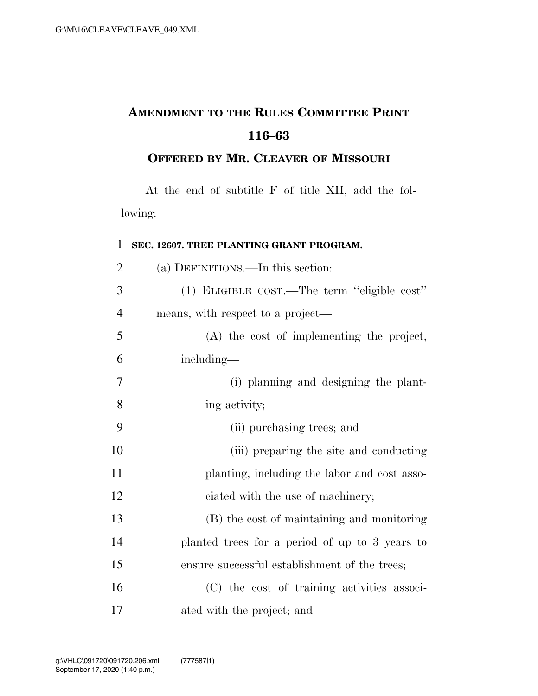## **AMENDMENT TO THE RULES COMMITTEE PRINT 116–63**

## **OFFERED BY MR. CLEAVER OF MISSOURI**

At the end of subtitle F of title XII, add the following:

## **SEC. 12607. TREE PLANTING GRANT PROGRAM.**

| $\overline{2}$ | (a) DEFINITIONS.—In this section:              |
|----------------|------------------------------------------------|
| 3              | (1) ELIGIBLE COST.—The term "eligible cost"    |
| $\overline{4}$ | means, with respect to a project—              |
| 5              | (A) the cost of implementing the project,      |
| 6              | including—                                     |
| 7              | (i) planning and designing the plant-          |
| 8              | ing activity;                                  |
| 9              | (ii) purchasing trees; and                     |
| 10             | (iii) preparing the site and conducting        |
| 11             | planting, including the labor and cost asso-   |
| 12             | ciated with the use of machinery;              |
| 13             | (B) the cost of maintaining and monitoring     |
| 14             | planted trees for a period of up to 3 years to |
| 15             | ensure successful establishment of the trees;  |
| 16             | (C) the cost of training activities associ-    |
| 17             | ated with the project; and                     |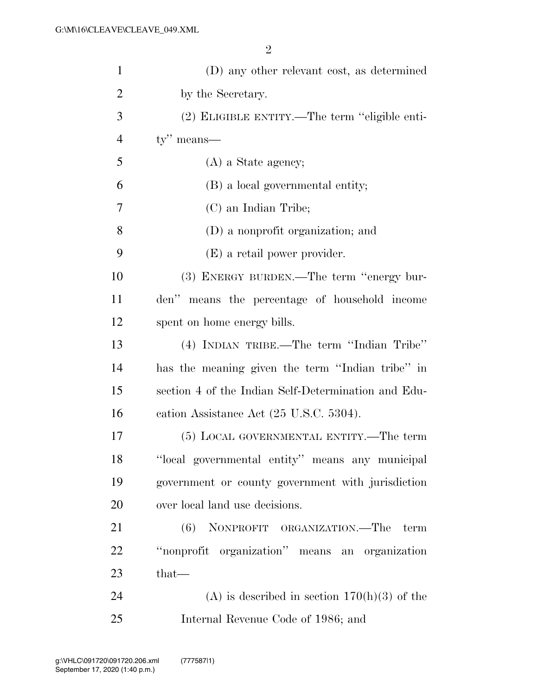| $\mathbf{1}$   | (D) any other relevant cost, as determined          |
|----------------|-----------------------------------------------------|
| $\overline{2}$ | by the Secretary.                                   |
| 3              | (2) ELIGIBLE ENTITY.—The term "eligible enti-       |
| $\overline{4}$ | $ty''$ means—                                       |
| 5              | (A) a State agency;                                 |
| 6              | (B) a local governmental entity;                    |
| 7              | (C) an Indian Tribe;                                |
| 8              | (D) a nonprofit organization; and                   |
| 9              | (E) a retail power provider.                        |
| 10             | (3) ENERGY BURDEN.—The term "energy bur-            |
| 11             | den" means the percentage of household income       |
| 12             | spent on home energy bills.                         |
| 13             | (4) INDIAN TRIBE.—The term "Indian Tribe"           |
| 14             | has the meaning given the term "Indian tribe" in    |
| 15             | section 4 of the Indian Self-Determination and Edu- |
| 16             | cation Assistance Act (25 U.S.C. 5304).             |
| 17             | (5) LOCAL GOVERNMENTAL ENTITY.—The term             |
| 18             | "local governmental entity" means any municipal     |
| 19             | government or county government with jurisdiction   |
| 20             | over local land use decisions.                      |
| 21             | (6) NONPROFIT ORGANIZATION.—The<br>term             |
| 22             | "nonprofit organization" means an organization      |
| 23             | $that-$                                             |
| 24             | (A) is described in section $170(h)(3)$ of the      |
| 25             | Internal Revenue Code of 1986; and                  |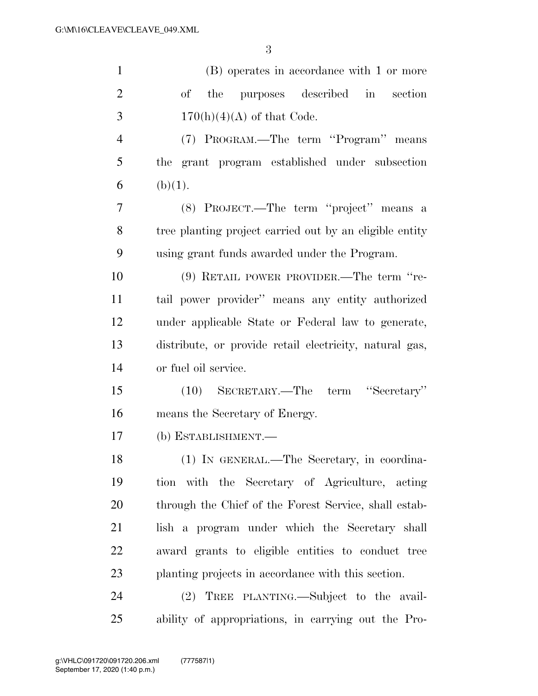| $\mathbf{1}$   | (B) operates in accordance with 1 or more               |
|----------------|---------------------------------------------------------|
| $\overline{2}$ | purposes described in<br>of the<br>section              |
| 3              | $170(h)(4)(A)$ of that Code.                            |
| $\overline{4}$ | (7) PROGRAM.—The term "Program" means                   |
| 5              | the grant program established under subsection          |
| 6              | (b)(1).                                                 |
| 7              | (8) PROJECT.—The term "project" means a                 |
| 8              | tree planting project carried out by an eligible entity |
| 9              | using grant funds awarded under the Program.            |
| 10             | (9) RETAIL POWER PROVIDER.—The term "re-                |
| 11             | tail power provider" means any entity authorized        |
| 12             | under applicable State or Federal law to generate,      |
| 13             | distribute, or provide retail electricity, natural gas, |
| 14             | or fuel oil service.                                    |
| 15             | (10) SECRETARY.—The term "Secretary"                    |
| 16             | means the Secretary of Energy.                          |
| 17             | (b) ESTABLISHMENT.-                                     |
| 18             | (1) IN GENERAL.—The Secretary, in coordina-             |
| 19             | tion with the Secretary of Agriculture, acting          |
| 20             | through the Chief of the Forest Service, shall estab-   |
| 21             | lish a program under which the Secretary shall          |
| 22             | award grants to eligible entities to conduct tree       |
| 23             | planting projects in accordance with this section.      |
| 24             | (2) TREE PLANTING.—Subject to the avail-                |
| 25             | ability of appropriations, in carrying out the Pro-     |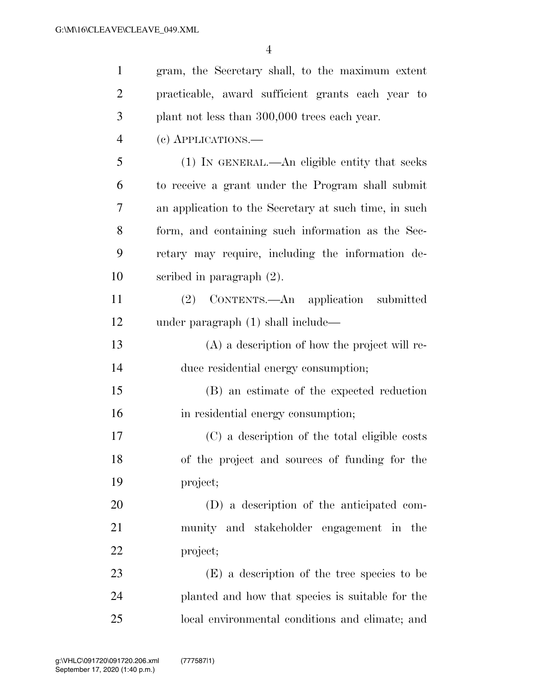| $\mathbf{1}$   | gram, the Secretary shall, to the maximum extent      |
|----------------|-------------------------------------------------------|
| $\overline{2}$ | practicable, award sufficient grants each year to     |
| 3              | plant not less than 300,000 trees each year.          |
| $\overline{4}$ | (c) APPLICATIONS.—                                    |
| 5              | (1) IN GENERAL.—An eligible entity that seeks         |
| 6              | to receive a grant under the Program shall submit     |
| 7              | an application to the Secretary at such time, in such |
| 8              | form, and containing such information as the Sec-     |
| 9              | retary may require, including the information de-     |
| 10             | scribed in paragraph $(2)$ .                          |
| 11             | (2) CONTENTS.—An application submitted                |
| 12             | under paragraph $(1)$ shall include—                  |
| 13             | $(A)$ a description of how the project will re-       |
| 14             | duce residential energy consumption;                  |
| 15             | (B) an estimate of the expected reduction             |
| 16             | in residential energy consumption;                    |
| 17             | (C) a description of the total eligible costs         |
| 18             | of the project and sources of funding for the         |
| 19             | project;                                              |
| 20             | (D) a description of the anticipated com-             |
| 21             | munity and stakeholder engagement in the              |
| 22             | project;                                              |
| 23             | (E) a description of the tree species to be           |
| 24             | planted and how that species is suitable for the      |
| 25             | local environmental conditions and climate; and       |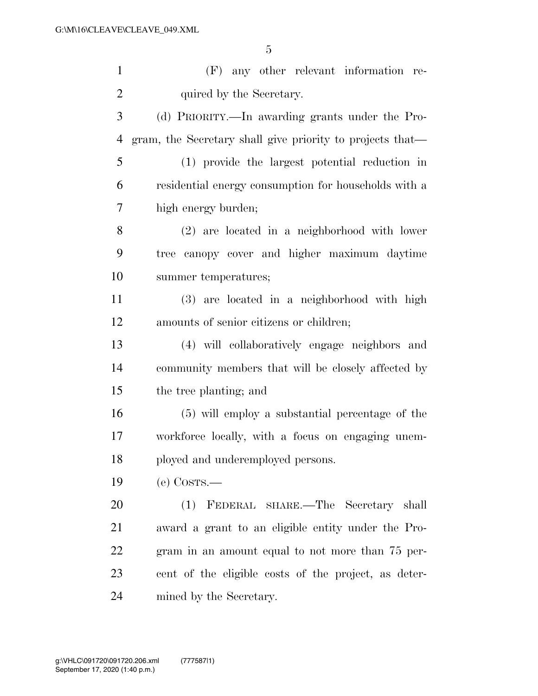(F) any other relevant information re-2 quired by the Secretary. (d) PRIORITY.—In awarding grants under the Pro-

 gram, the Secretary shall give priority to projects that— (1) provide the largest potential reduction in residential energy consumption for households with a

high energy burden;

 (2) are located in a neighborhood with lower tree canopy cover and higher maximum daytime summer temperatures;

 (3) are located in a neighborhood with high amounts of senior citizens or children;

 (4) will collaboratively engage neighbors and community members that will be closely affected by the tree planting; and

 (5) will employ a substantial percentage of the workforce locally, with a focus on engaging unem-ployed and underemployed persons.

(e) COSTS.—

 (1) FEDERAL SHARE.—The Secretary shall award a grant to an eligible entity under the Pro- gram in an amount equal to not more than 75 per- cent of the eligible costs of the project, as deter-mined by the Secretary.